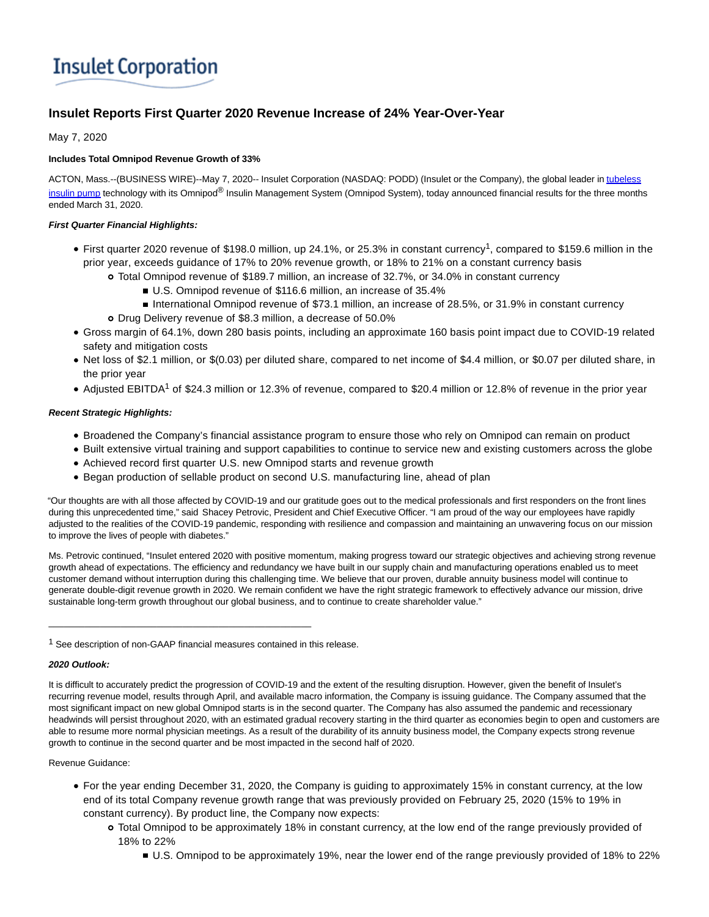# **Insulet Corporation**

# **Insulet Reports First Quarter 2020 Revenue Increase of 24% Year-Over-Year**

# May 7, 2020

## **Includes Total Omnipod Revenue Growth of 33%**

ACTON, Mass.--(BUSINESS WIRE)--May 7, 2020-- Insulet Corporation (NASDAQ: PODD) (Insulet or the Company), the global leader i[n tubeless](https://cts.businesswire.com/ct/CT?id=smartlink&url=http%3A%2F%2Fwww.myomnipod.com%2Fexplore-omnipod%2Fomnipod-system&esheet=52216302&newsitemid=20200507005932&lan=en-US&anchor=tubeless+insulin+pump&index=1&md5=7287cbc26bfcc646f3f7b108c8daed8f) insulin pump technology with its Omnipod<sup>®</sup> Insulin Management System (Omnipod System), today announced financial results for the three months ended March 31, 2020.

## **First Quarter Financial Highlights:**

- First quarter 2020 revenue of \$198.0 million, up 24.1%, or 25.3% in constant currency<sup>1</sup>, compared to \$159.6 million in the prior year, exceeds guidance of 17% to 20% revenue growth, or 18% to 21% on a constant currency basis
	- Total Omnipod revenue of \$189.7 million, an increase of 32.7%, or 34.0% in constant currency
		- U.S. Omnipod revenue of \$116.6 million, an increase of 35.4%
		- International Omnipod revenue of \$73.1 million, an increase of 28.5%, or 31.9% in constant currency
	- Drug Delivery revenue of \$8.3 million, a decrease of 50.0%
- Gross margin of 64.1%, down 280 basis points, including an approximate 160 basis point impact due to COVID-19 related safety and mitigation costs
- Net loss of \$2.1 million, or \$(0.03) per diluted share, compared to net income of \$4.4 million, or \$0.07 per diluted share, in the prior year
- Adjusted EBITDA<sup>1</sup> of \$24.3 million or 12.3% of revenue, compared to \$20.4 million or 12.8% of revenue in the prior year

## **Recent Strategic Highlights:**

- Broadened the Company's financial assistance program to ensure those who rely on Omnipod can remain on product
- Built extensive virtual training and support capabilities to continue to service new and existing customers across the globe
- Achieved record first quarter U.S. new Omnipod starts and revenue growth
- Began production of sellable product on second U.S. manufacturing line, ahead of plan

"Our thoughts are with all those affected by COVID-19 and our gratitude goes out to the medical professionals and first responders on the front lines during this unprecedented time," said Shacey Petrovic, President and Chief Executive Officer. "I am proud of the way our employees have rapidly adjusted to the realities of the COVID-19 pandemic, responding with resilience and compassion and maintaining an unwavering focus on our mission to improve the lives of people with diabetes."

Ms. Petrovic continued, "Insulet entered 2020 with positive momentum, making progress toward our strategic objectives and achieving strong revenue growth ahead of expectations. The efficiency and redundancy we have built in our supply chain and manufacturing operations enabled us to meet customer demand without interruption during this challenging time. We believe that our proven, durable annuity business model will continue to generate double-digit revenue growth in 2020. We remain confident we have the right strategic framework to effectively advance our mission, drive sustainable long-term growth throughout our global business, and to continue to create shareholder value."

\_\_\_\_\_\_\_\_\_\_\_\_\_\_\_\_\_\_\_\_\_\_\_\_\_\_\_\_\_\_\_\_\_\_\_\_\_\_\_\_\_\_\_\_\_\_\_\_\_\_\_

### **2020 Outlook:**

#### Revenue Guidance:

- For the year ending December 31, 2020, the Company is guiding to approximately 15% in constant currency, at the low end of its total Company revenue growth range that was previously provided on February 25, 2020 (15% to 19% in constant currency). By product line, the Company now expects:
	- Total Omnipod to be approximately 18% in constant currency, at the low end of the range previously provided of 18% to 22%
		- U.S. Omnipod to be approximately 19%, near the lower end of the range previously provided of 18% to 22%

<sup>1</sup> See description of non-GAAP financial measures contained in this release.

It is difficult to accurately predict the progression of COVID-19 and the extent of the resulting disruption. However, given the benefit of Insulet's recurring revenue model, results through April, and available macro information, the Company is issuing guidance. The Company assumed that the most significant impact on new global Omnipod starts is in the second quarter. The Company has also assumed the pandemic and recessionary headwinds will persist throughout 2020, with an estimated gradual recovery starting in the third quarter as economies begin to open and customers are able to resume more normal physician meetings. As a result of the durability of its annuity business model, the Company expects strong revenue growth to continue in the second quarter and be most impacted in the second half of 2020.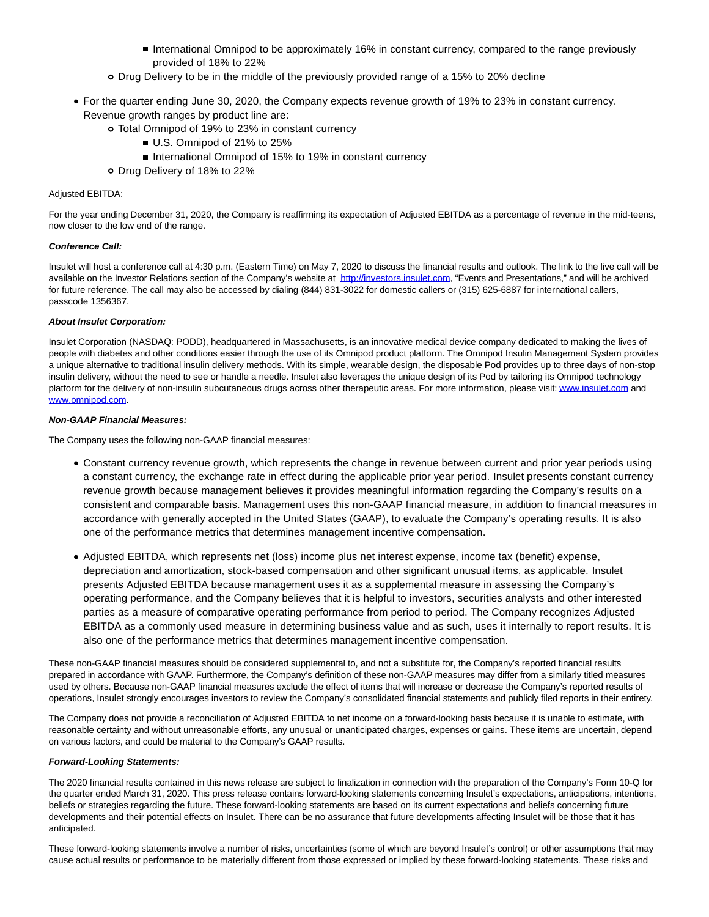- **International Omnipod to be approximately 16% in constant currency, compared to the range previously** provided of 18% to 22%
- Drug Delivery to be in the middle of the previously provided range of a 15% to 20% decline
- For the quarter ending June 30, 2020, the Company expects revenue growth of 19% to 23% in constant currency. Revenue growth ranges by product line are:
	- Total Omnipod of 19% to 23% in constant currency
		- U.S. Omnipod of 21% to 25%
		- International Omnipod of 15% to 19% in constant currency
	- o Drug Delivery of 18% to 22%

#### Adjusted EBITDA:

For the year ending December 31, 2020, the Company is reaffirming its expectation of Adjusted EBITDA as a percentage of revenue in the mid-teens, now closer to the low end of the range.

#### **Conference Call:**

Insulet will host a conference call at 4:30 p.m. (Eastern Time) on May 7, 2020 to discuss the financial results and outlook. The link to the live call will be available on the Investor Relations section of the Company's website at [http://investors.insulet.com,](https://cts.businesswire.com/ct/CT?id=smartlink&url=http%3A%2F%2Finvestors.insulet.com&esheet=52216302&newsitemid=20200507005932&lan=en-US&anchor=http%3A%2F%2Finvestors.insulet.com&index=2&md5=2bc7571478321e4188bbd552dd5c75b3) "Events and Presentations," and will be archived for future reference. The call may also be accessed by dialing (844) 831-3022 for domestic callers or (315) 625-6887 for international callers, passcode 1356367.

#### **About Insulet Corporation:**

Insulet Corporation (NASDAQ: PODD), headquartered in Massachusetts, is an innovative medical device company dedicated to making the lives of people with diabetes and other conditions easier through the use of its Omnipod product platform. The Omnipod Insulin Management System provides a unique alternative to traditional insulin delivery methods. With its simple, wearable design, the disposable Pod provides up to three days of non-stop insulin delivery, without the need to see or handle a needle. Insulet also leverages the unique design of its Pod by tailoring its Omnipod technology platform for the delivery of non-insulin subcutaneous drugs across other therapeutic areas. For more information, please visit[: www.insulet.com a](https://cts.businesswire.com/ct/CT?id=smartlink&url=http%3A%2F%2Fwww.insulet.com&esheet=52216302&newsitemid=20200507005932&lan=en-US&anchor=www.insulet.com&index=3&md5=eb7cc1acc7723eb0c0edda6a0ba4b0e1)nd [www.omnipod.com.](https://cts.businesswire.com/ct/CT?id=smartlink&url=http%3A%2F%2Fwww.myomnipod.com%2Fhome&esheet=52216302&newsitemid=20200507005932&lan=en-US&anchor=www.omnipod.com&index=4&md5=dcc47514b38e1222bfa46f61728448b5)

#### **Non-GAAP Financial Measures:**

The Company uses the following non-GAAP financial measures:

- Constant currency revenue growth, which represents the change in revenue between current and prior year periods using a constant currency, the exchange rate in effect during the applicable prior year period. Insulet presents constant currency revenue growth because management believes it provides meaningful information regarding the Company's results on a consistent and comparable basis. Management uses this non-GAAP financial measure, in addition to financial measures in accordance with generally accepted in the United States (GAAP), to evaluate the Company's operating results. It is also one of the performance metrics that determines management incentive compensation.
- Adjusted EBITDA, which represents net (loss) income plus net interest expense, income tax (benefit) expense, depreciation and amortization, stock-based compensation and other significant unusual items, as applicable. Insulet presents Adjusted EBITDA because management uses it as a supplemental measure in assessing the Company's operating performance, and the Company believes that it is helpful to investors, securities analysts and other interested parties as a measure of comparative operating performance from period to period. The Company recognizes Adjusted EBITDA as a commonly used measure in determining business value and as such, uses it internally to report results. It is also one of the performance metrics that determines management incentive compensation.

These non-GAAP financial measures should be considered supplemental to, and not a substitute for, the Company's reported financial results prepared in accordance with GAAP. Furthermore, the Company's definition of these non-GAAP measures may differ from a similarly titled measures used by others. Because non-GAAP financial measures exclude the effect of items that will increase or decrease the Company's reported results of operations, Insulet strongly encourages investors to review the Company's consolidated financial statements and publicly filed reports in their entirety.

The Company does not provide a reconciliation of Adjusted EBITDA to net income on a forward-looking basis because it is unable to estimate, with reasonable certainty and without unreasonable efforts, any unusual or unanticipated charges, expenses or gains. These items are uncertain, depend on various factors, and could be material to the Company's GAAP results.

#### **Forward-Looking Statements:**

The 2020 financial results contained in this news release are subject to finalization in connection with the preparation of the Company's Form 10-Q for the quarter ended March 31, 2020. This press release contains forward-looking statements concerning Insulet's expectations, anticipations, intentions, beliefs or strategies regarding the future. These forward-looking statements are based on its current expectations and beliefs concerning future developments and their potential effects on Insulet. There can be no assurance that future developments affecting Insulet will be those that it has anticipated.

These forward-looking statements involve a number of risks, uncertainties (some of which are beyond Insulet's control) or other assumptions that may cause actual results or performance to be materially different from those expressed or implied by these forward-looking statements. These risks and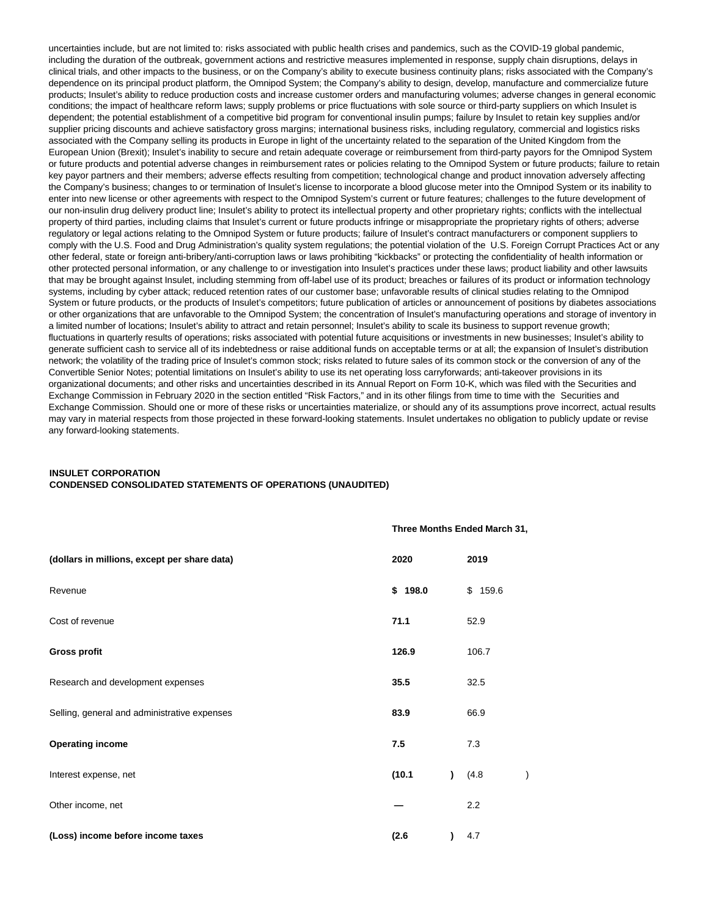uncertainties include, but are not limited to: risks associated with public health crises and pandemics, such as the COVID-19 global pandemic, including the duration of the outbreak, government actions and restrictive measures implemented in response, supply chain disruptions, delays in clinical trials, and other impacts to the business, or on the Company's ability to execute business continuity plans; risks associated with the Company's dependence on its principal product platform, the Omnipod System; the Company's ability to design, develop, manufacture and commercialize future products; Insulet's ability to reduce production costs and increase customer orders and manufacturing volumes; adverse changes in general economic conditions; the impact of healthcare reform laws; supply problems or price fluctuations with sole source or third-party suppliers on which Insulet is dependent; the potential establishment of a competitive bid program for conventional insulin pumps; failure by Insulet to retain key supplies and/or supplier pricing discounts and achieve satisfactory gross margins; international business risks, including regulatory, commercial and logistics risks associated with the Company selling its products in Europe in light of the uncertainty related to the separation of the United Kingdom from the European Union (Brexit); Insulet's inability to secure and retain adequate coverage or reimbursement from third-party payors for the Omnipod System or future products and potential adverse changes in reimbursement rates or policies relating to the Omnipod System or future products; failure to retain key payor partners and their members; adverse effects resulting from competition; technological change and product innovation adversely affecting the Company's business; changes to or termination of Insulet's license to incorporate a blood glucose meter into the Omnipod System or its inability to enter into new license or other agreements with respect to the Omnipod System's current or future features; challenges to the future development of our non-insulin drug delivery product line; Insulet's ability to protect its intellectual property and other proprietary rights; conflicts with the intellectual property of third parties, including claims that Insulet's current or future products infringe or misappropriate the proprietary rights of others; adverse regulatory or legal actions relating to the Omnipod System or future products; failure of Insulet's contract manufacturers or component suppliers to comply with the U.S. Food and Drug Administration's quality system regulations; the potential violation of the U.S. Foreign Corrupt Practices Act or any other federal, state or foreign anti-bribery/anti-corruption laws or laws prohibiting "kickbacks" or protecting the confidentiality of health information or other protected personal information, or any challenge to or investigation into Insulet's practices under these laws; product liability and other lawsuits that may be brought against Insulet, including stemming from off-label use of its product; breaches or failures of its product or information technology systems, including by cyber attack; reduced retention rates of our customer base; unfavorable results of clinical studies relating to the Omnipod System or future products, or the products of Insulet's competitors; future publication of articles or announcement of positions by diabetes associations or other organizations that are unfavorable to the Omnipod System; the concentration of Insulet's manufacturing operations and storage of inventory in a limited number of locations; Insulet's ability to attract and retain personnel; Insulet's ability to scale its business to support revenue growth; fluctuations in quarterly results of operations; risks associated with potential future acquisitions or investments in new businesses; Insulet's ability to generate sufficient cash to service all of its indebtedness or raise additional funds on acceptable terms or at all; the expansion of Insulet's distribution network; the volatility of the trading price of Insulet's common stock; risks related to future sales of its common stock or the conversion of any of the Convertible Senior Notes; potential limitations on Insulet's ability to use its net operating loss carryforwards; anti-takeover provisions in its organizational documents; and other risks and uncertainties described in its Annual Report on Form 10-K, which was filed with the Securities and Exchange Commission in February 2020 in the section entitled "Risk Factors," and in its other filings from time to time with the Securities and Exchange Commission. Should one or more of these risks or uncertainties materialize, or should any of its assumptions prove incorrect, actual results may vary in material respects from those projected in these forward-looking statements. Insulet undertakes no obligation to publicly update or revise any forward-looking statements.

## **INSULET CORPORATION CONDENSED CONSOLIDATED STATEMENTS OF OPERATIONS (UNAUDITED)**

|                                              |         | Three Months Ended March 31, |         |               |
|----------------------------------------------|---------|------------------------------|---------|---------------|
| (dollars in millions, except per share data) | 2020    |                              | 2019    |               |
| Revenue                                      | \$198.0 |                              | \$159.6 |               |
| Cost of revenue                              | 71.1    |                              | 52.9    |               |
| <b>Gross profit</b>                          | 126.9   |                              | 106.7   |               |
| Research and development expenses            | 35.5    |                              | 32.5    |               |
| Selling, general and administrative expenses | 83.9    |                              | 66.9    |               |
| <b>Operating income</b>                      | 7.5     |                              | 7.3     |               |
| Interest expense, net                        | (10.1)  | $\lambda$                    | (4.8)   | $\mathcal{E}$ |
| Other income, net                            |         |                              | 2.2     |               |
| (Loss) income before income taxes            | (2.6)   | $\lambda$                    | 4.7     |               |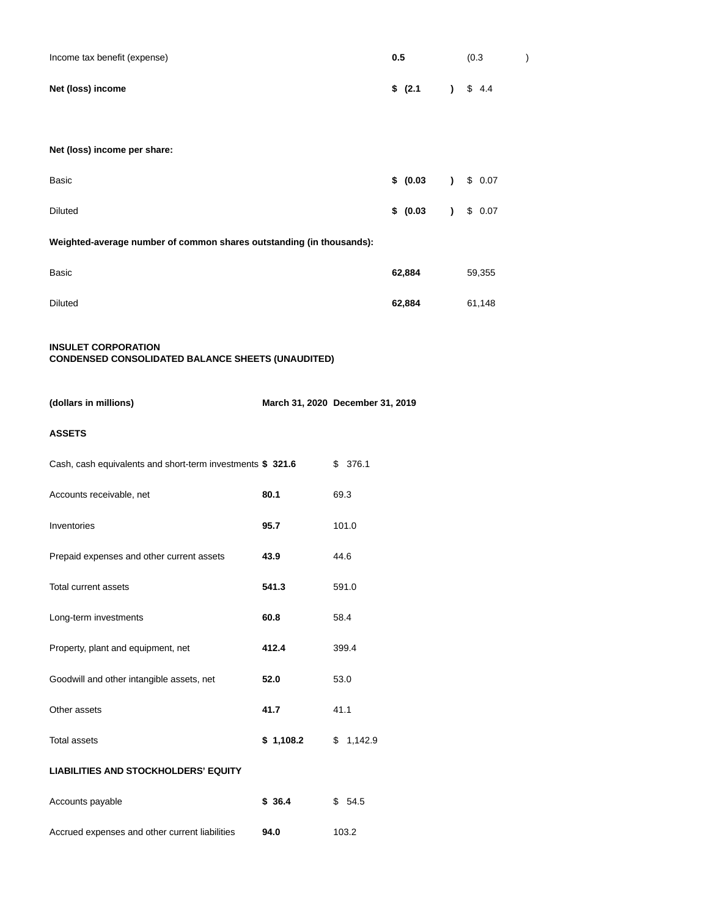| Income tax benefit (expense) | 0.5                                   | (0.3) |  |
|------------------------------|---------------------------------------|-------|--|
| Net (loss) income            | $\frac{1}{2}$ (2.1) $\frac{1}{2}$ 4.4 |       |  |

## **Net (loss) income per share:**

| Basic                                                                | \$ (0.03) |  | \$0.07 |
|----------------------------------------------------------------------|-----------|--|--------|
| <b>Diluted</b>                                                       | \$ (0.03) |  | \$0.07 |
| Weighted-average number of common shares outstanding (in thousands): |           |  |        |
| Basic                                                                | 62,884    |  | 59,355 |
| Diluted                                                              | 62,884    |  | 61,148 |

## **INSULET CORPORATION CONDENSED CONSOLIDATED BALANCE SHEETS (UNAUDITED)**

| (dollars in millions) | March 31, 2020 December 31, 2019 |
|-----------------------|----------------------------------|

# **ASSETS**

| Cash, cash equivalents and short-term investments \$ 321.6 |           | \$376.1   |
|------------------------------------------------------------|-----------|-----------|
| Accounts receivable, net                                   | 80.1      | 69.3      |
| Inventories                                                | 95.7      | 101.0     |
| Prepaid expenses and other current assets                  | 43.9      | 44.6      |
| Total current assets                                       | 541.3     | 591.0     |
| Long-term investments                                      | 60.8      | 58.4      |
| Property, plant and equipment, net                         | 412.4     | 399.4     |
| Goodwill and other intangible assets, net                  | 52.0      | 53.0      |
| Other assets                                               | 41.7      | 41.1      |
| <b>Total assets</b>                                        | \$1,108.2 | \$1,142.9 |
| <b>LIABILITIES AND STOCKHOLDERS' EQUITY</b>                |           |           |
| Accounts payable                                           | \$36.4    | \$54.5    |

Accrued expenses and other current liabilities **94.0** 103.2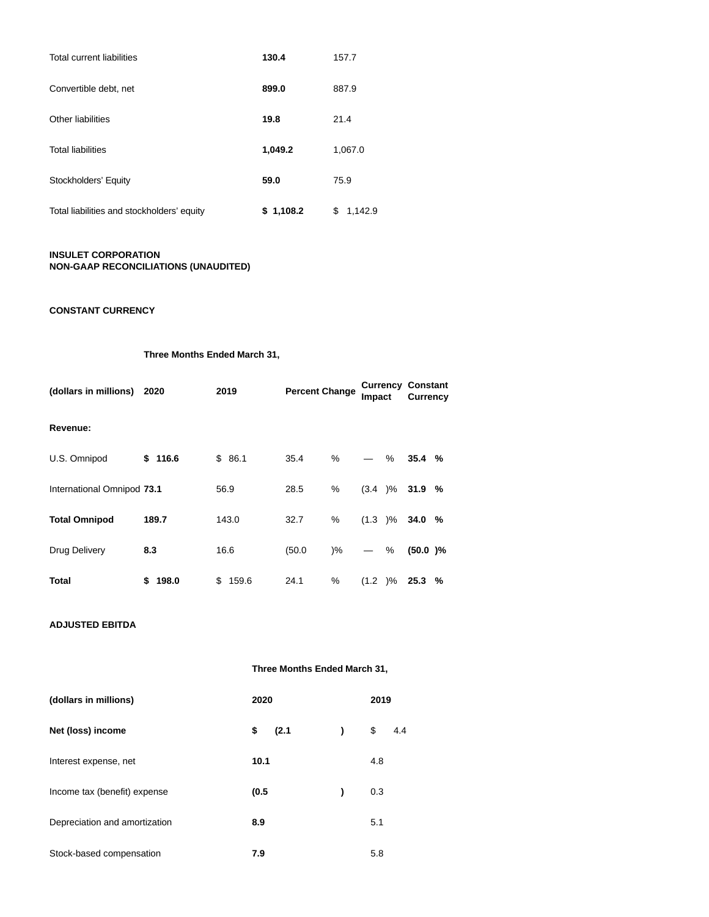| Total current liabilities                  | 130.4     | 157.7         |
|--------------------------------------------|-----------|---------------|
| Convertible debt, net                      | 899.0     | 887.9         |
| Other liabilities                          | 19.8      | 21.4          |
| <b>Total liabilities</b>                   | 1,049.2   | 1,067.0       |
| Stockholders' Equity                       | 59.0      | 75.9          |
| Total liabilities and stockholders' equity | \$1,108.2 | \$<br>1,142.9 |

# **INSULET CORPORATION NON-GAAP RECONCILIATIONS (UNAUDITED)**

# **CONSTANT CURRENCY**

**Three Months Ended March 31,**

| (dollars in millions)      | 2020    | 2019        | <b>Percent Change</b> |               | Currency<br>Impact |   | <b>Constant</b><br><b>Currency</b> |  |
|----------------------------|---------|-------------|-----------------------|---------------|--------------------|---|------------------------------------|--|
| Revenue:                   |         |             |                       |               |                    |   |                                    |  |
| U.S. Omnipod               | \$116.6 | \$86.1      | 35.4                  | %             |                    | % | 35.4%                              |  |
| International Omnipod 73.1 |         | 56.9        | 28.5                  | %             | (3.4)%             |   | 31.9%                              |  |
| <b>Total Omnipod</b>       | 189.7   | 143.0       | 32.7                  | %             | (1.3)%             |   | 34.0%                              |  |
| Drug Delivery              | 8.3     | 16.6        | (50.0)                | $\frac{9}{6}$ |                    | % | $(50.0)$ %                         |  |
| Total                      | \$198.0 | \$<br>159.6 | 24.1                  | %             | (1.2)%             |   | 25.3%                              |  |

# **ADJUSTED EBITDA**

|  | Three Months Ended March 31, |  |  |  |
|--|------------------------------|--|--|--|
|--|------------------------------|--|--|--|

| (dollars in millions)         | 2020        |   | 2019      |
|-------------------------------|-------------|---|-----------|
| Net (loss) income             | \$<br>(2.1) | ) | \$<br>4.4 |
| Interest expense, net         | 10.1        |   | 4.8       |
| Income tax (benefit) expense  | (0.5)       | ) | 0.3       |
| Depreciation and amortization | 8.9         |   | 5.1       |
| Stock-based compensation      | 7.9         |   | 5.8       |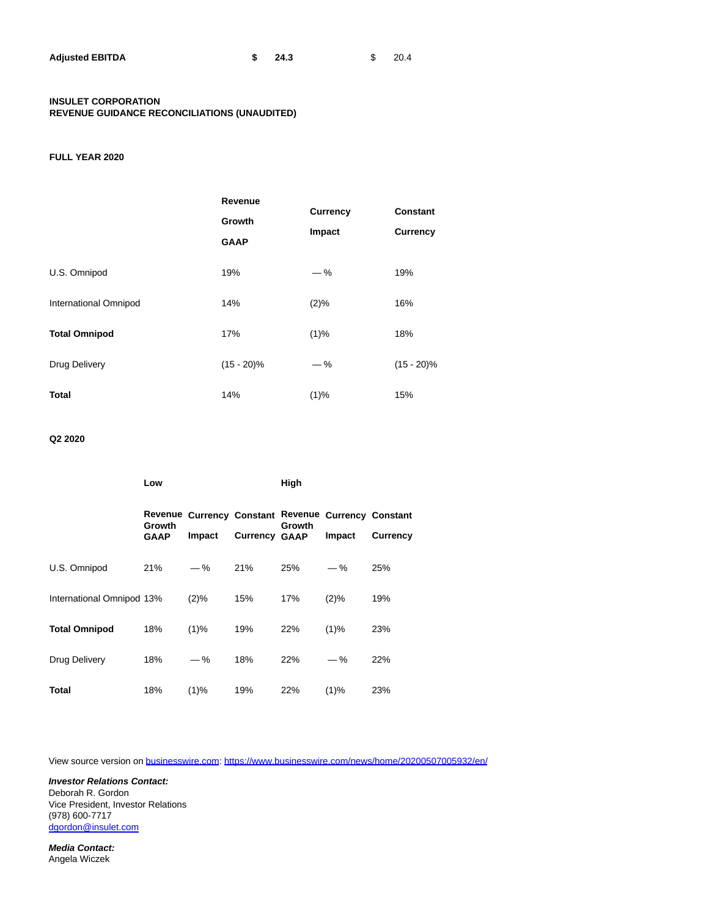| <b>Adjusted EBITDA</b> | 24.3 | 20.4 |
|------------------------|------|------|
|                        |      |      |

## **INSULET CORPORATION REVENUE GUIDANCE RECONCILIATIONS (UNAUDITED)**

# **FULL YEAR 2020**

|                       | Revenue<br>Growth<br><b>GAAP</b> | <b>Currency</b><br>Impact | <b>Constant</b><br><b>Currency</b> |
|-----------------------|----------------------------------|---------------------------|------------------------------------|
| U.S. Omnipod          | 19%                              | $-$ %                     | 19%                                |
| International Omnipod | 14%                              | (2)%                      | 16%                                |
| <b>Total Omnipod</b>  | 17%                              | (1)%                      | 18%                                |
| Drug Delivery         | $(15 - 20)\%$                    | $-$ %                     | $(15 - 20)\%$                      |
| <b>Total</b>          | 14%                              | (1)%                      | 15%                                |

# **Q2 2020**

|                           | Low                   |                                     |                      | High   |                                     |                 |
|---------------------------|-----------------------|-------------------------------------|----------------------|--------|-------------------------------------|-----------------|
|                           | Growth<br><b>GAAP</b> | Revenue Currency Constant<br>Impact | <b>Currency GAAP</b> | Growth | Revenue Currency Constant<br>Impact | <b>Currency</b> |
| U.S. Omnipod              | 21%                   | $-$ %                               | 21%                  | 25%    | $-\%$                               | 25%             |
| International Omnipod 13% |                       | $(2)\%$                             | 15%                  | 17%    | (2)%                                | 19%             |
| <b>Total Omnipod</b>      | 18%                   | $(1)\%$                             | 19%                  | 22%    | $(1)\%$                             | 23%             |
| Drug Delivery             | 18%                   | $-$ %                               | 18%                  | 22%    | $-$ %                               | 22%             |
| <b>Total</b>              | 18%                   | (1)%                                | 19%                  | 22%    | (1)%                                | 23%             |

View source version on [businesswire.com:](http://businesswire.com/)<https://www.businesswire.com/news/home/20200507005932/en/>

**Investor Relations Contact:** Deborah R. Gordon Vice President, Investor Relations (978) 600-7717 [dgordon@insulet.com](mailto:dgordon@insulet.com)

**Media Contact:** Angela Wiczek